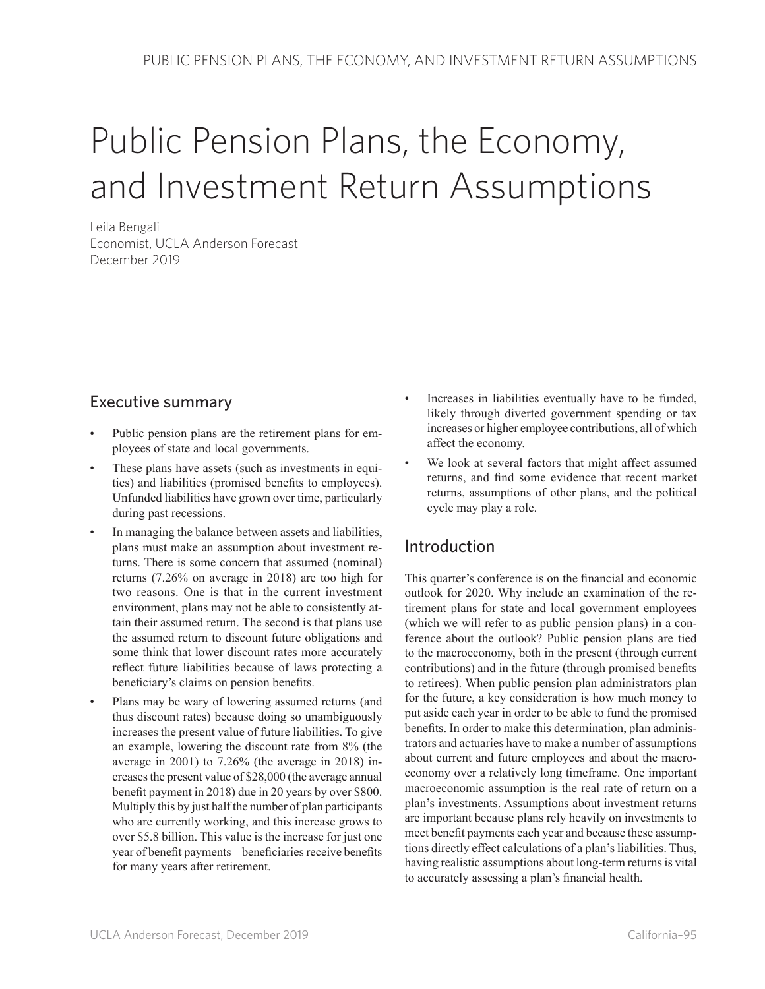# Public Pension Plans, the Economy, and Investment Return Assumptions

Leila Bengali Economist, UCLA Anderson Forecast December 2019

## Executive summary

- Public pension plans are the retirement plans for employees of state and local governments.
- These plans have assets (such as investments in equities) and liabilities (promised benefits to employees). Unfunded liabilities have grown over time, particularly during past recessions.
- In managing the balance between assets and liabilities, plans must make an assumption about investment returns. There is some concern that assumed (nominal) returns (7.26% on average in 2018) are too high for two reasons. One is that in the current investment environment, plans may not be able to consistently attain their assumed return. The second is that plans use the assumed return to discount future obligations and some think that lower discount rates more accurately reflect future liabilities because of laws protecting a beneficiary's claims on pension benefits.
- Plans may be wary of lowering assumed returns (and thus discount rates) because doing so unambiguously increases the present value of future liabilities. To give an example, lowering the discount rate from 8% (the average in 2001) to 7.26% (the average in 2018) increases the present value of \$28,000 (the average annual benefit payment in 2018) due in 20 years by over \$800. Multiply this by just half the number of plan participants who are currently working, and this increase grows to over \$5.8 billion. This value is the increase for just one year of benefit payments – beneficiaries receive benefits for many years after retirement.
- Increases in liabilities eventually have to be funded, likely through diverted government spending or tax increases or higher employee contributions, all of which affect the economy.
- We look at several factors that might affect assumed returns, and find some evidence that recent market returns, assumptions of other plans, and the political cycle may play a role.

## Introduction

This quarter's conference is on the financial and economic outlook for 2020. Why include an examination of the retirement plans for state and local government employees (which we will refer to as public pension plans) in a conference about the outlook? Public pension plans are tied to the macroeconomy, both in the present (through current contributions) and in the future (through promised benefits to retirees). When public pension plan administrators plan for the future, a key consideration is how much money to put aside each year in order to be able to fund the promised benefits. In order to make this determination, plan administrators and actuaries have to make a number of assumptions about current and future employees and about the macroeconomy over a relatively long timeframe. One important macroeconomic assumption is the real rate of return on a plan's investments. Assumptions about investment returns are important because plans rely heavily on investments to meet benefit payments each year and because these assumptions directly effect calculations of a plan's liabilities. Thus, having realistic assumptions about long-term returns is vital to accurately assessing a plan's financial health.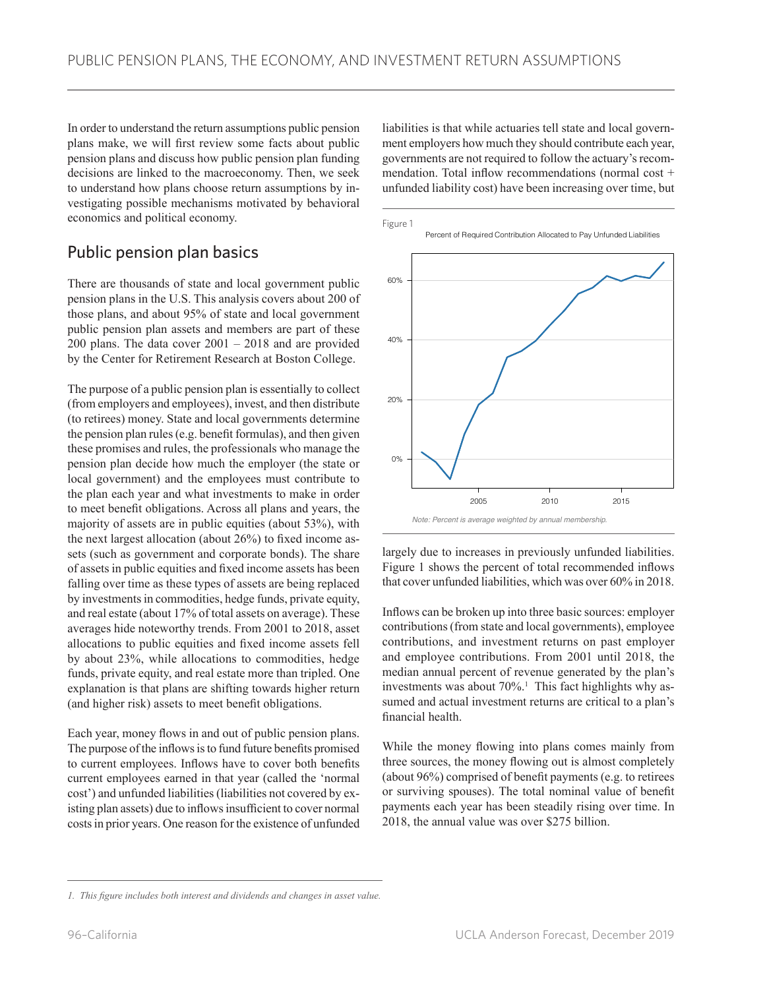In order to understand the return assumptions public pension plans make, we will first review some facts about public pension plans and discuss how public pension plan funding decisions are linked to the macroeconomy. Then, we seek to understand how plans choose return assumptions by investigating possible mechanisms motivated by behavioral economics and political economy.

## Public pension plan basics

There are thousands of state and local government public pension plans in the U.S. This analysis covers about 200 of those plans, and about 95% of state and local government public pension plan assets and members are part of these 200 plans. The data cover 2001 – 2018 and are provided by the Center for Retirement Research at Boston College.

The purpose of a public pension plan is essentially to collect (from employers and employees), invest, and then distribute (to retirees) money. State and local governments determine the pension plan rules (e.g. benefit formulas), and then given these promises and rules, the professionals who manage the pension plan decide how much the employer (the state or local government) and the employees must contribute to the plan each year and what investments to make in order to meet benefit obligations. Across all plans and years, the majority of assets are in public equities (about 53%), with the next largest allocation (about 26%) to fixed income assets (such as government and corporate bonds). The share of assets in public equities and fixed income assets has been falling over time as these types of assets are being replaced by investments in commodities, hedge funds, private equity, and real estate (about 17% of total assets on average). These averages hide noteworthy trends. From 2001 to 2018, asset allocations to public equities and fixed income assets fell by about 23%, while allocations to commodities, hedge funds, private equity, and real estate more than tripled. One explanation is that plans are shifting towards higher return (and higher risk) assets to meet benefit obligations.

Each year, money flows in and out of public pension plans. The purpose of the inflows is to fund future benefits promised to current employees. Inflows have to cover both benefits current employees earned in that year (called the 'normal cost') and unfunded liabilities (liabilities not covered by existing plan assets) due to inflows insufficient to cover normal costs in prior years. One reason for the existence of unfunded liabilities is that while actuaries tell state and local government employers how much they should contribute each year, governments are not required to follow the actuary's recommendation. Total inflow recommendations (normal cost + unfunded liability cost) have been increasing over time, but



largely due to increases in previously unfunded liabilities. Figure 1 shows the percent of total recommended inflows that cover unfunded liabilities, which was over 60% in 2018.

Inflows can be broken up into three basic sources: employer contributions (from state and local governments), employee contributions, and investment returns on past employer and employee contributions. From 2001 until 2018, the median annual percent of revenue generated by the plan's investments was about 70%.<sup>1</sup> This fact highlights why assumed and actual investment returns are critical to a plan's financial health.

While the money flowing into plans comes mainly from three sources, the money flowing out is almost completely (about 96%) comprised of benefit payments (e.g. to retirees or surviving spouses). The total nominal value of benefit payments each year has been steadily rising over time. In 2018, the annual value was over \$275 billion.

*<sup>1.</sup> This figure includes both interest and dividends and changes in asset value.*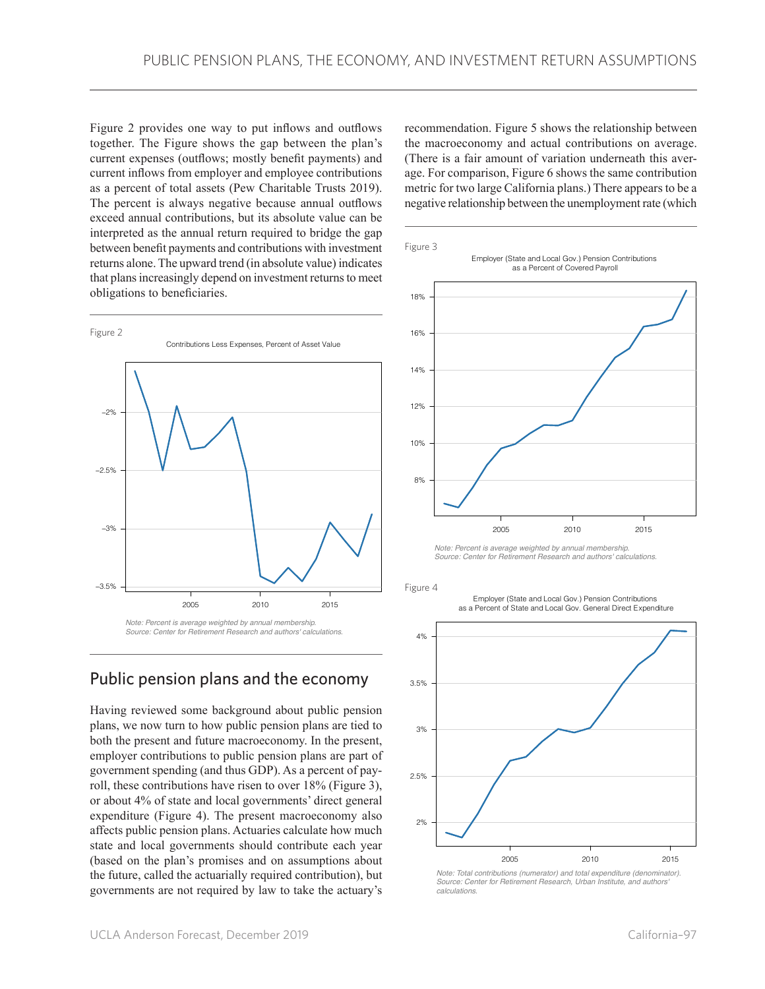Figure 2 provides one way to put inflows and outflows together. The Figure shows the gap between the plan's current expenses (outflows; mostly benefit payments) and current inflows from employer and employee contributions as a percent of total assets (Pew Charitable Trusts 2019). The percent is always negative because annual outflows exceed annual contributions, but its absolute value can be interpreted as the annual return required to bridge the gap between benefit payments and contributions with investment returns alone. The upward trend (in absolute value) indicates that plans increasingly depend on investment returns to meet obligations to beneficiaries.



## Public pension plans and the economy

Having reviewed some background about public pension plans, we now turn to how public pension plans are tied to both the present and future macroeconomy. In the present, employer contributions to public pension plans are part of government spending (and thus GDP). As a percent of payroll, these contributions have risen to over 18% (Figure 3), or about 4% of state and local governments' direct general expenditure (Figure 4). The present macroeconomy also affects public pension plans. Actuaries calculate how much state and local governments should contribute each year (based on the plan's promises and on assumptions about the future, called the actuarially required contribution), but governments are not required by law to take the actuary's

recommendation. Figure 5 shows the relationship between the macroeconomy and actual contributions on average. (There is a fair amount of variation underneath this average. For comparison, Figure 6 shows the same contribution metric for two large California plans.) There appears to be a negative relationship between the unemployment rate (which



*Note: Percent is average weighted by annual membership. Source: Center for Retirement Research and authors' calculations.*

Figure 4

Employer (State and Local Gov.) Pension Contributions as a Percent of State and Local Gov. General Direct Expenditure



*Note: Total contributions (numerator) and total expenditure (denominator). Source: Center for Retirement Research, Urban Institute, and authors' calculations.*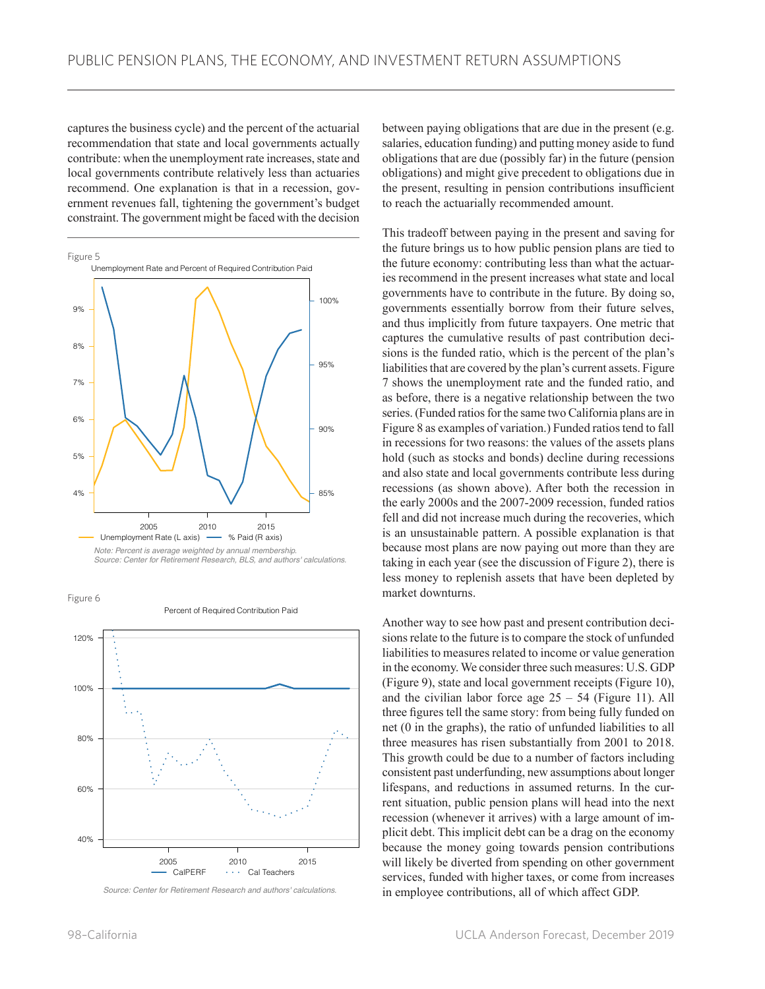captures the business cycle) and the percent of the actuarial recommendation that state and local governments actually contribute: when the unemployment rate increases, state and local governments contribute relatively less than actuaries recommend. One explanation is that in a recession, government revenues fall, tightening the government's budget constraint. The government might be faced with the decision



Figure 6

Percent of Required Contribution Paid



*Source: Center for Retirement Research and authors' calculations.*

between paying obligations that are due in the present (e.g. salaries, education funding) and putting money aside to fund obligations that are due (possibly far) in the future (pension obligations) and might give precedent to obligations due in the present, resulting in pension contributions insufficient to reach the actuarially recommended amount.

This tradeoff between paying in the present and saving for the future brings us to how public pension plans are tied to the future economy: contributing less than what the actuaries recommend in the present increases what state and local governments have to contribute in the future. By doing so, governments essentially borrow from their future selves, and thus implicitly from future taxpayers. One metric that captures the cumulative results of past contribution decisions is the funded ratio, which is the percent of the plan's liabilities that are covered by the plan's current assets. Figure 7 shows the unemployment rate and the funded ratio, and as before, there is a negative relationship between the two series. (Funded ratios for the same two California plans are in Figure 8 as examples of variation.) Funded ratios tend to fall in recessions for two reasons: the values of the assets plans hold (such as stocks and bonds) decline during recessions and also state and local governments contribute less during recessions (as shown above). After both the recession in the early 2000s and the 2007-2009 recession, funded ratios fell and did not increase much during the recoveries, which is an unsustainable pattern. A possible explanation is that because most plans are now paying out more than they are taking in each year (see the discussion of Figure 2), there is less money to replenish assets that have been depleted by market downturns.

Another way to see how past and present contribution decisions relate to the future is to compare the stock of unfunded liabilities to measures related to income or value generation in the economy. We consider three such measures: U.S. GDP (Figure 9), state and local government receipts (Figure 10), and the civilian labor force age  $25 - 54$  (Figure 11). All three figures tell the same story: from being fully funded on net (0 in the graphs), the ratio of unfunded liabilities to all three measures has risen substantially from 2001 to 2018. This growth could be due to a number of factors including consistent past underfunding, new assumptions about longer lifespans, and reductions in assumed returns. In the current situation, public pension plans will head into the next recession (whenever it arrives) with a large amount of implicit debt. This implicit debt can be a drag on the economy because the money going towards pension contributions will likely be diverted from spending on other government services, funded with higher taxes, or come from increases in employee contributions, all of which affect GDP.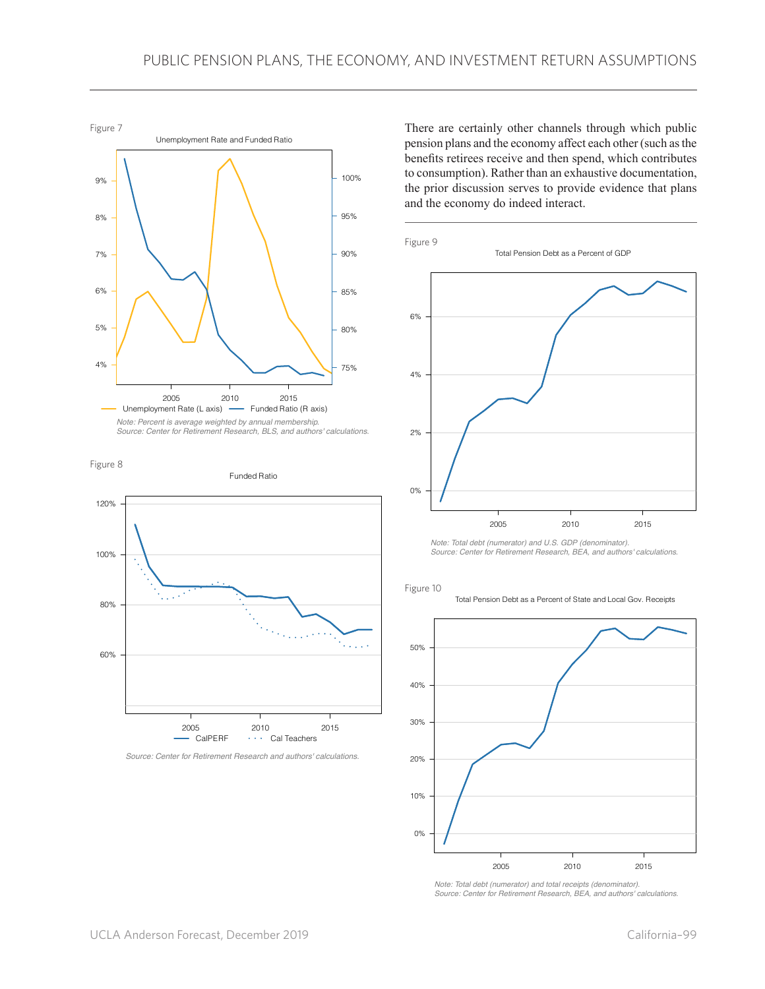

*Note: Percent is average weighted by annual membership. Source: Center for Retirement Research, BLS, and authors' calculations.*





*Source: Center for Retirement Research and authors' calculations.*

There are certainly other channels through which public pension plans and the economy affect each other (such as the benefits retirees receive and then spend, which contributes to consumption). Rather than an exhaustive documentation, the prior discussion serves to provide evidence that plans and the economy do indeed interact.



*Note: Total debt (numerator) and U.S. GDP (denominator). Source: Center for Retirement Research, BEA, and authors' calculations.*



Total Pension Debt as a Percent of State and Local Gov. Receipts



*Note: Total debt (numerator) and total receipts (denominator). Source: Center for Retirement Research, BEA, and authors' calculations.*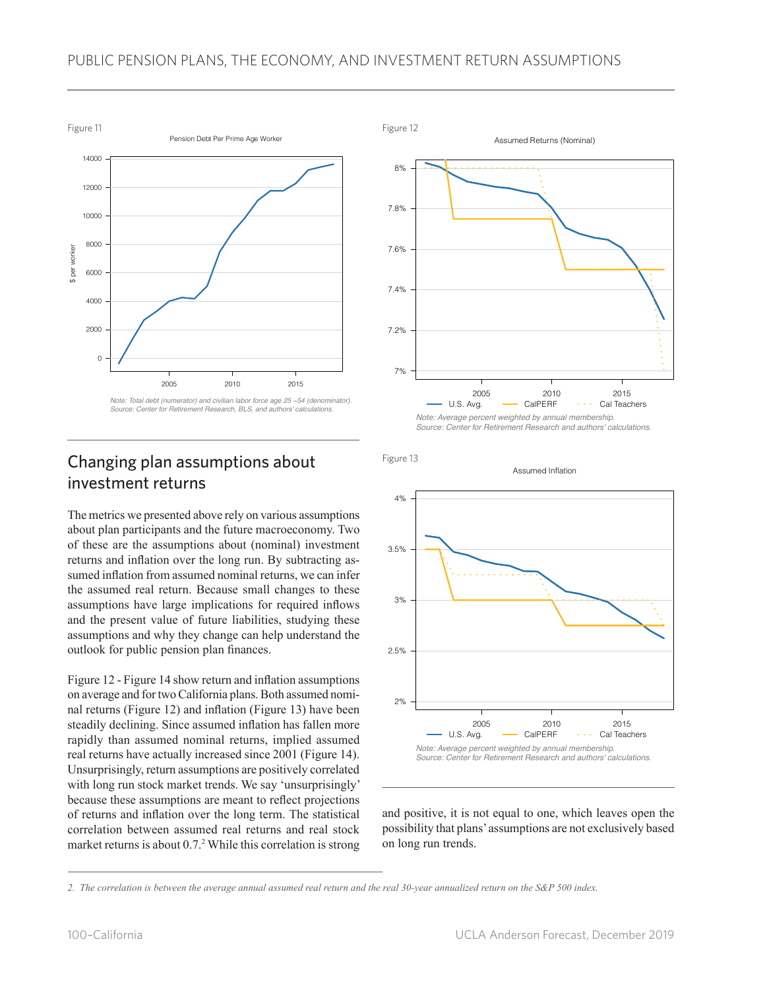### PUBLIC PENSION PLANS, THE ECONOMY, AND INVESTMENT RETURN ASSUMPTIONS



## Changing plan assumptions about investment returns

The metrics we presented above rely on various assumptions about plan participants and the future macroeconomy. Two of these are the assumptions about (nominal) investment returns and inflation over the long run. By subtracting assumed inflation from assumed nominal returns, we can infer the assumed real return. Because small changes to these assumptions have large implications for required inflows and the present value of future liabilities, studying these assumptions and why they change can help understand the outlook for public pension plan finances.

Figure 12 - Figure 14 show return and inflation assumptions on average and for two California plans. Both assumed nominal returns (Figure 12) and inflation (Figure 13) have been steadily declining. Since assumed inflation has fallen more rapidly than assumed nominal returns, implied assumed real returns have actually increased since 2001 (Figure 14). Unsurprisingly, return assumptions are positively correlated with long run stock market trends. We say 'unsurprisingly' because these assumptions are meant to reflect projections of returns and inflation over the long term. The statistical correlation between assumed real returns and real stock market returns is about 0.7.<sup>2</sup> While this correlation is strong



Figure 13



and positive, it is not equal to one, which leaves open the possibility that plans' assumptions are not exclusively based on long run trends.

*<sup>2.</sup> The correlation is between the average annual assumed real return and the real 30-year annualized return on the S&P 500 index.*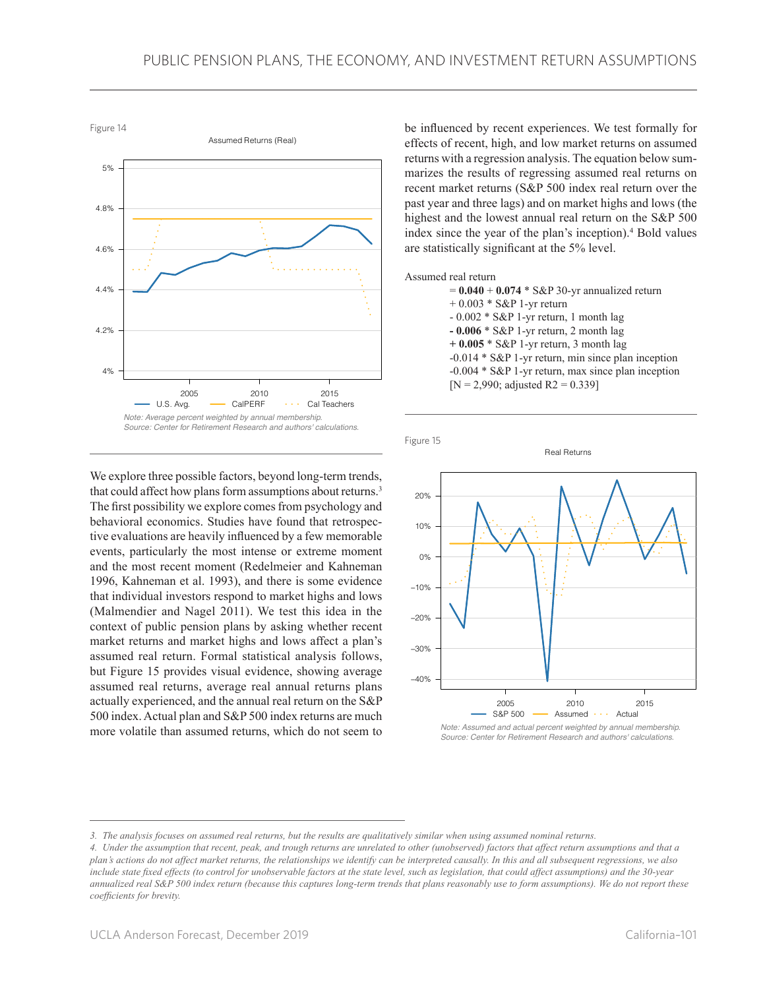Figure 14



We explore three possible factors, beyond long-term trends, that could affect how plans form assumptions about returns.<sup>3</sup> The first possibility we explore comes from psychology and behavioral economics. Studies have found that retrospective evaluations are heavily influenced by a few memorable events, particularly the most intense or extreme moment and the most recent moment (Redelmeier and Kahneman 1996, Kahneman et al. 1993), and there is some evidence that individual investors respond to market highs and lows (Malmendier and Nagel 2011). We test this idea in the context of public pension plans by asking whether recent market returns and market highs and lows affect a plan's assumed real return. Formal statistical analysis follows, but Figure 15 provides visual evidence, showing average assumed real returns, average real annual returns plans actually experienced, and the annual real return on the S&P 500 index. Actual plan and S&P 500 index returns are much more volatile than assumed returns, which do not seem to

be influenced by recent experiences. We test formally for effects of recent, high, and low market returns on assumed returns with a regression analysis. The equation below summarizes the results of regressing assumed real returns on recent market returns (S&P 500 index real return over the past year and three lags) and on market highs and lows (the highest and the lowest annual real return on the S&P 500 index since the year of the plan's inception).<sup>4</sup> Bold values are statistically significant at the 5% level.

#### Assumed real return

| $= 0.040 + 0.074 * S\&P 30-vr$ annualized return      |
|-------------------------------------------------------|
| $+0.003 * S\&P$ 1-yr return                           |
| $-0.002 * S\&P$ 1-yr return, 1 month lag              |
| $-0.006 * S\&P$ 1-yr return, 2 month lag              |
| $+0.005 * S\&P$ 1-yr return, 3 month lag              |
| $-0.014 * S\&P$ 1-yr return, min since plan inception |
| -0.004 * S&P 1-yr return, max since plan inception    |
| [N = 2,990; adjusted R2 = 0.339]                      |
|                                                       |

Real Returns

Figure 15



*Note: Assumed and actual percent weighted by annual membership. Source: Center for Retirement Research and authors' calculations.*

*<sup>3.</sup> The analysis focuses on assumed real returns, but the results are qualitatively similar when using assumed nominal returns.*

*<sup>4.</sup> Under the assumption that recent, peak, and trough returns are unrelated to other (unobserved) factors that affect return assumptions and that a plan's actions do not affect market returns, the relationships we identify can be interpreted causally. In this and all subsequent regressions, we also include state fixed effects (to control for unobservable factors at the state level, such as legislation, that could affect assumptions) and the 30-year annualized real S&P 500 index return (because this captures long-term trends that plans reasonably use to form assumptions). We do not report these coefficients for brevity.*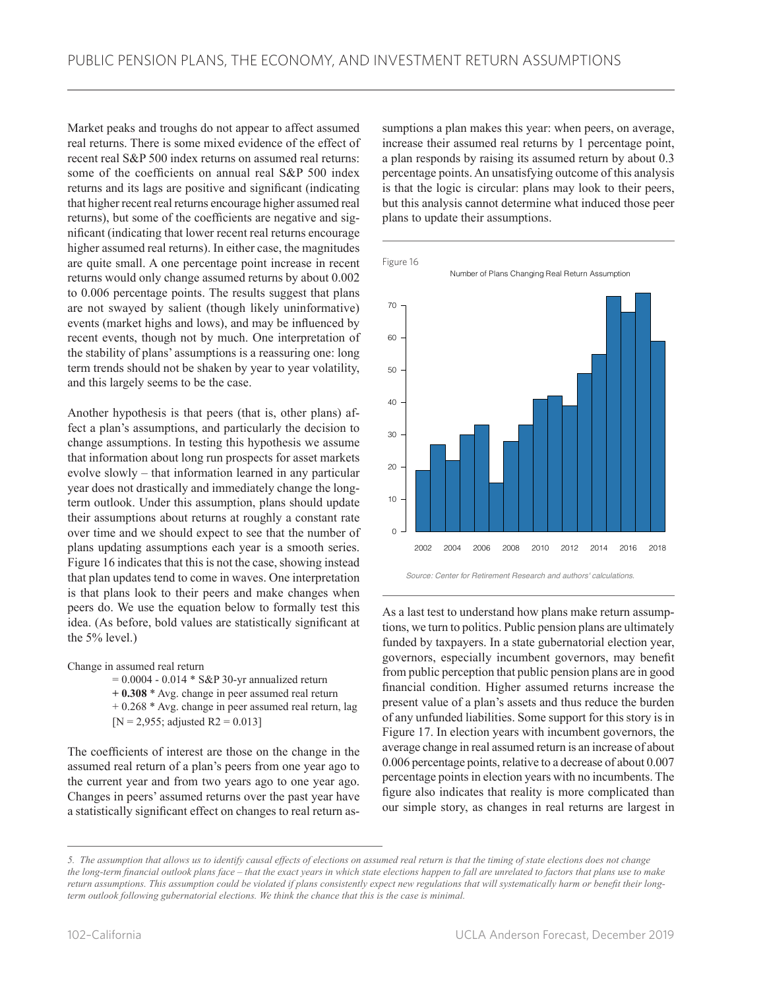Market peaks and troughs do not appear to affect assumed real returns. There is some mixed evidence of the effect of recent real S&P 500 index returns on assumed real returns: some of the coefficients on annual real S&P 500 index returns and its lags are positive and significant (indicating that higher recent real returns encourage higher assumed real returns), but some of the coefficients are negative and significant (indicating that lower recent real returns encourage higher assumed real returns). In either case, the magnitudes are quite small. A one percentage point increase in recent returns would only change assumed returns by about 0.002 to 0.006 percentage points. The results suggest that plans are not swayed by salient (though likely uninformative) events (market highs and lows), and may be influenced by recent events, though not by much. One interpretation of the stability of plans' assumptions is a reassuring one: long term trends should not be shaken by year to year volatility, and this largely seems to be the case.

Another hypothesis is that peers (that is, other plans) affect a plan's assumptions, and particularly the decision to change assumptions. In testing this hypothesis we assume that information about long run prospects for asset markets evolve slowly – that information learned in any particular year does not drastically and immediately change the longterm outlook. Under this assumption, plans should update their assumptions about returns at roughly a constant rate over time and we should expect to see that the number of plans updating assumptions each year is a smooth series. Figure 16 indicates that this is not the case, showing instead that plan updates tend to come in waves. One interpretation is that plans look to their peers and make changes when peers do. We use the equation below to formally test this idea. (As before, bold values are statistically significant at the 5% level.)

Change in assumed real return

 $= 0.0004 - 0.014 * S\&P 30-yr annualized return$ **+ 0.308** \* Avg. change in peer assumed real return + 0.268 \* Avg. change in peer assumed real return, lag  $[N = 2,955;$  adjusted R2 = 0.013]

The coefficients of interest are those on the change in the assumed real return of a plan's peers from one year ago to the current year and from two years ago to one year ago. Changes in peers' assumed returns over the past year have a statistically significant effect on changes to real return assumptions a plan makes this year: when peers, on average, increase their assumed real returns by 1 percentage point, a plan responds by raising its assumed return by about 0.3 percentage points. An unsatisfying outcome of this analysis is that the logic is circular: plans may look to their peers, but this analysis cannot determine what induced those peer plans to update their assumptions.





As a last test to understand how plans make return assumptions, we turn to politics. Public pension plans are ultimately funded by taxpayers. In a state gubernatorial election year, governors, especially incumbent governors, may benefit from public perception that public pension plans are in good financial condition. Higher assumed returns increase the present value of a plan's assets and thus reduce the burden of any unfunded liabilities. Some support for this story is in Figure 17. In election years with incumbent governors, the average change in real assumed return is an increase of about 0.006 percentage points, relative to a decrease of about 0.007 percentage points in election years with no incumbents. The figure also indicates that reality is more complicated than our simple story, as changes in real returns are largest in

*<sup>5.</sup> The assumption that allows us to identify causal effects of elections on assumed real return is that the timing of state elections does not change the long-term financial outlook plans face – that the exact years in which state elections happen to fall are unrelated to factors that plans use to make return assumptions. This assumption could be violated if plans consistently expect new regulations that will systematically harm or benefit their longterm outlook following gubernatorial elections. We think the chance that this is the case is minimal.*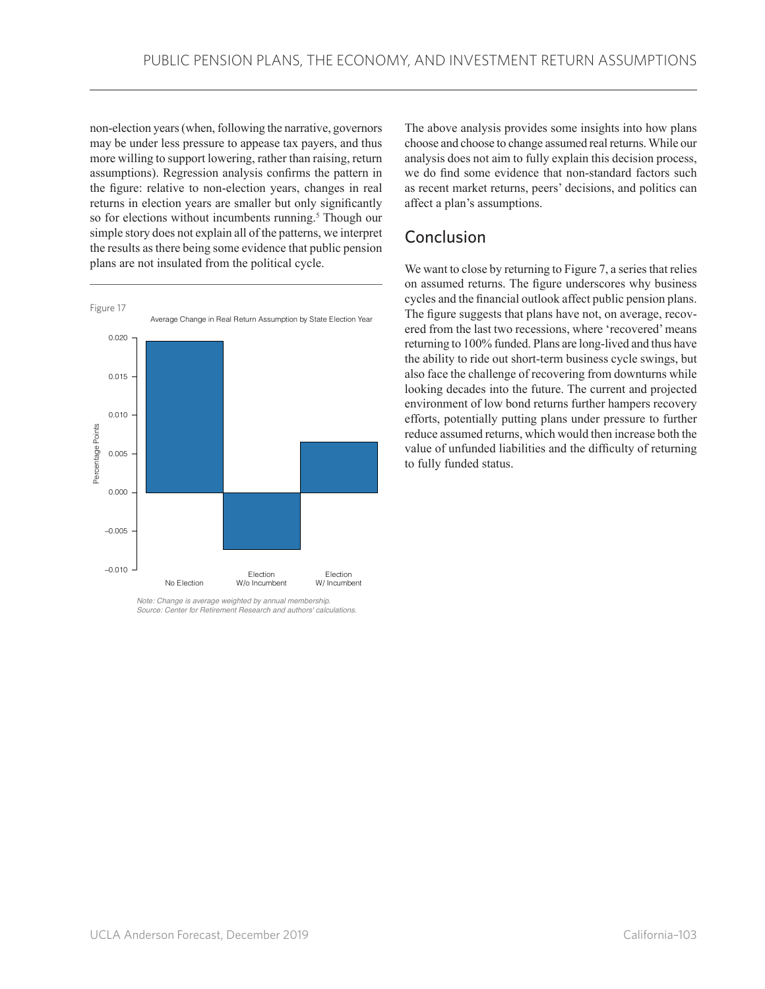non-election years (when, following the narrative, governors may be under less pressure to appease tax payers, and thus more willing to support lowering, rather than raising, return assumptions). Regression analysis confirms the pattern in the figure: relative to non-election years, changes in real returns in election years are smaller but only significantly so for elections without incumbents running.<sup>5</sup> Though our simple story does not explain all of the patterns, we interpret the results as there being some evidence that public pension plans are not insulated from the political cycle.



*Note: Change is average weighted by annual membership. Source: Center for Retirement Research and authors' calculations.*

The above analysis provides some insights into how plans choose and choose to change assumed real returns. While our analysis does not aim to fully explain this decision process, we do find some evidence that non-standard factors such as recent market returns, peers' decisions, and politics can affect a plan's assumptions.

## Conclusion

We want to close by returning to Figure 7, a series that relies on assumed returns. The figure underscores why business cycles and the financial outlook affect public pension plans. The figure suggests that plans have not, on average, recovered from the last two recessions, where 'recovered' means returning to 100% funded. Plans are long-lived and thus have the ability to ride out short-term business cycle swings, but also face the challenge of recovering from downturns while looking decades into the future. The current and projected environment of low bond returns further hampers recovery efforts, potentially putting plans under pressure to further reduce assumed returns, which would then increase both the value of unfunded liabilities and the difficulty of returning to fully funded status.